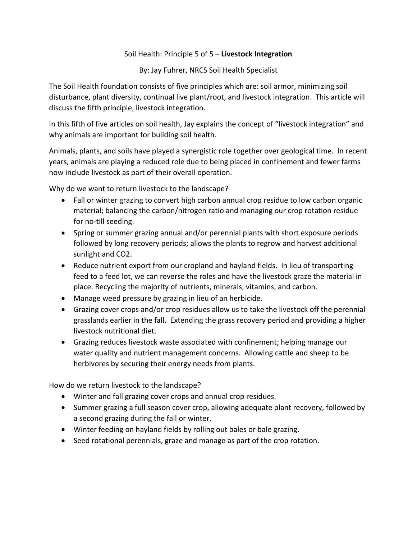## Soil Health: Principle 5 of 5 – **Livestock Integration**

By: Jay Fuhrer, NRCS Soil Health Specialist

The Soil Health foundation consists of five principles which are: soil armor, minimizing soil disturbance, plant diversity, continual live plant/root, and livestock integration. This article will discuss the fifth principle, livestock integration.

In this fifth of five articles on soil health, Jay explains the concept of "livestock integration" and why animals are important for building soil health.

Animals, plants, and soils have played a synergistic role together over geological time. In recent years, animals are playing a reduced role due to being placed in confinement and fewer farms now include livestock as part of their overall operation.

Why do we want to return livestock to the landscape?

- Fall or winter grazing to convert high carbon annual crop residue to low carbon organic material; balancing the carbon/nitrogen ratio and managing our crop rotation residue for no-till seeding.
- Spring or summer grazing annual and/or perennial plants with short exposure periods followed by long recovery periods; allows the plants to regrow and harvest additional sunlight and CO2.
- Reduce nutrient export from our cropland and hayland fields. In lieu of transporting feed to a feed lot, we can reverse the roles and have the livestock graze the material in place. Recycling the majority of nutrients, minerals, vitamins, and carbon.
- Manage weed pressure by grazing in lieu of an herbicide.
- Grazing cover crops and/or crop residues allow us to take the livestock off the perennial grasslands earlier in the fall. Extending the grass recovery period and providing a higher livestock nutritional diet.
- Grazing reduces livestock waste associated with confinement; helping manage our water quality and nutrient management concerns. Allowing cattle and sheep to be herbivores by securing their energy needs from plants.

How do we return livestock to the landscape?

- Winter and fall grazing cover crops and annual crop residues.
- Summer grazing a full season cover crop, allowing adequate plant recovery, followed by a second grazing during the fall or winter.
- Winter feeding on hayland fields by rolling out bales or bale grazing.
- Seed rotational perennials, graze and manage as part of the crop rotation.